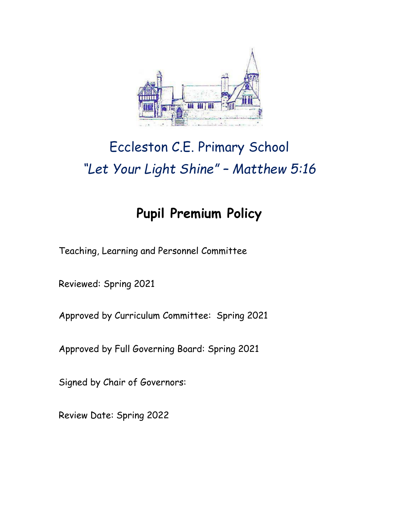

# Eccleston C.E. Primary School *"Let Your Light Shine" – Matthew 5:16*

# **Pupil Premium Policy**

Teaching, Learning and Personnel Committee

Reviewed: Spring 2021

Approved by Curriculum Committee: Spring 2021

Approved by Full Governing Board: Spring 2021

Signed by Chair of Governors:

Review Date: Spring 2022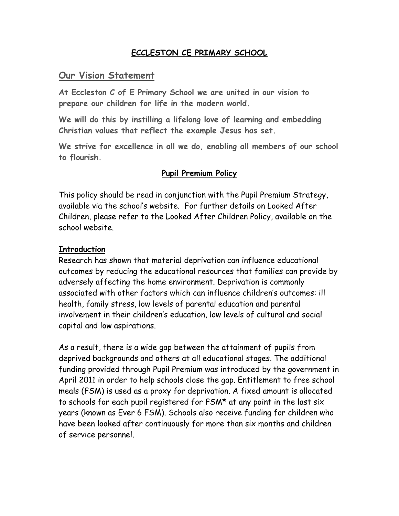## **ECCLESTON CE PRIMARY SCHOOL**

## **Our Vision Statement**

**At Eccleston C of E Primary School we are united in our vision to prepare our children for life in the modern world.**

**We will do this by instilling a lifelong love of learning and embedding Christian values that reflect the example Jesus has set.**

**We strive for excellence in all we do, enabling all members of our school to flourish.**

#### **Pupil Premium Policy**

This policy should be read in conjunction with the Pupil Premium Strategy, available via the school's website. For further details on Looked After Children, please refer to the Looked After Children Policy, available on the school website.

#### **Introduction**

Research has shown that material deprivation can influence educational outcomes by reducing the educational resources that families can provide by adversely affecting the home environment. Deprivation is commonly associated with other factors which can influence children's outcomes: ill health, family stress, low levels of parental education and parental involvement in their children's education, low levels of cultural and social capital and low aspirations.

As a result, there is a wide gap between the attainment of pupils from deprived backgrounds and others at all educational stages. The additional funding provided through Pupil Premium was introduced by the government in April 2011 in order to help schools close the gap. Entitlement to free school meals (FSM) is used as a proxy for deprivation. A fixed amount is allocated to schools for each pupil registered for FSM**\*** at any point in the last six years (known as Ever 6 FSM). Schools also receive funding for children who have been looked after continuously for more than six months and children of service personnel.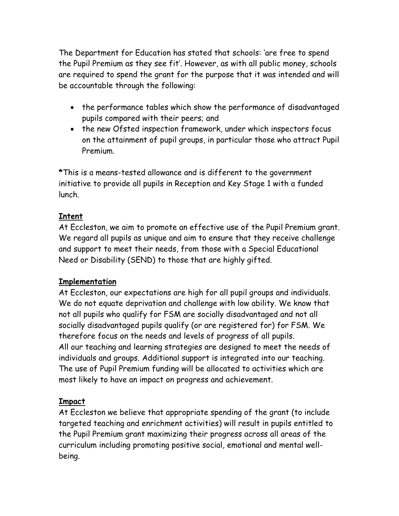The Department for Education has stated that schools: 'are free to spend the Pupil Premium as they see fit'. However, as with all public money, schools are required to spend the grant for the purpose that it was intended and will be accountable through the following:

- the performance tables which show the performance of disadvantaged pupils compared with their peers; and
- the new Ofsted inspection framework, under which inspectors focus on the attainment of pupil groups, in particular those who attract Pupil Premium.

**\***This is a means-tested allowance and is different to the government initiative to provide all pupils in Reception and Key Stage 1 with a funded lunch.

# **Intent**

At Eccleston, we aim to promote an effective use of the Pupil Premium grant. We regard all pupils as unique and aim to ensure that they receive challenge and support to meet their needs, from those with a Special Educational Need or Disability (SEND) to those that are highly gifted.

# **Implementation**

At Eccleston, our expectations are high for all pupil groups and individuals. We do not equate deprivation and challenge with low ability. We know that not all pupils who qualify for FSM are socially disadvantaged and not all socially disadvantaged pupils qualify (or are registered for) for FSM. We therefore focus on the needs and levels of progress of all pupils. All our teaching and learning strategies are designed to meet the needs of individuals and groups. Additional support is integrated into our teaching. The use of Pupil Premium funding will be allocated to activities which are most likely to have an impact on progress and achievement.

# **Impact**

At Eccleston we believe that appropriate spending of the grant (to include targeted teaching and enrichment activities) will result in pupils entitled to the Pupil Premium grant maximizing their progress across all areas of the curriculum including promoting positive social, emotional and mental wellbeing.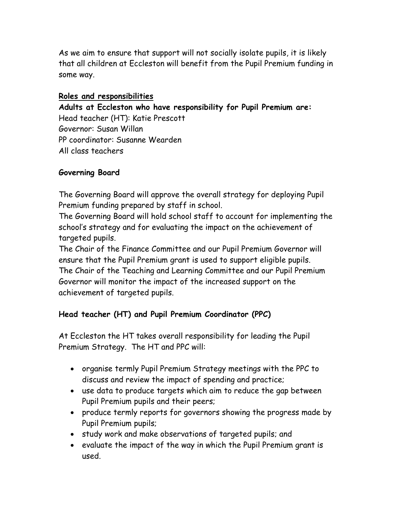As we aim to ensure that support will not socially isolate pupils, it is likely that all children at Eccleston will benefit from the Pupil Premium funding in some way.

#### **Roles and responsibilities**

**Adults at Eccleston who have responsibility for Pupil Premium are:** 

Head teacher (HT): Katie Prescott Governor: Susan Willan PP coordinator: Susanne Wearden All class teachers

#### **Governing Board**

The Governing Board will approve the overall strategy for deploying Pupil Premium funding prepared by staff in school.

The Governing Board will hold school staff to account for implementing the school's strategy and for evaluating the impact on the achievement of targeted pupils.

The Chair of the Finance Committee and our Pupil Premium Governor will ensure that the Pupil Premium grant is used to support eligible pupils. The Chair of the Teaching and Learning Committee and our Pupil Premium Governor will monitor the impact of the increased support on the achievement of targeted pupils.

#### **Head teacher (HT) and Pupil Premium Coordinator (PPC)**

At Eccleston the HT takes overall responsibility for leading the Pupil Premium Strategy. The HT and PPC will:

- organise termly Pupil Premium Strategy meetings with the PPC to discuss and review the impact of spending and practice;
- use data to produce targets which aim to reduce the gap between Pupil Premium pupils and their peers;
- produce termly reports for governors showing the progress made by Pupil Premium pupils;
- study work and make observations of targeted pupils; and
- evaluate the impact of the way in which the Pupil Premium grant is used.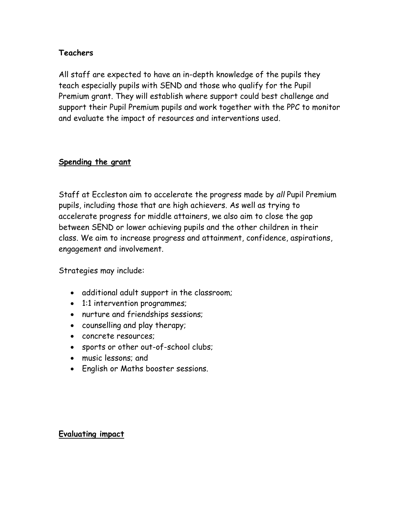#### **Teachers**

All staff are expected to have an in-depth knowledge of the pupils they teach especially pupils with SEND and those who qualify for the Pupil Premium grant. They will establish where support could best challenge and support their Pupil Premium pupils and work together with the PPC to monitor and evaluate the impact of resources and interventions used*.*

#### **Spending the grant**

Staff at Eccleston aim to accelerate the progress made by *all* Pupil Premium pupils, including those that are high achievers. As well as trying to accelerate progress for middle attainers, we also aim to close the gap between SEND or lower achieving pupils and the other children in their class. We aim to increase progress and attainment, confidence, aspirations, engagement and involvement.

Strategies may include:

- additional adult support in the classroom;
- 1:1 intervention programmes;
- nurture and friendships sessions;
- counselling and play therapy;
- concrete resources;
- sports or other out-of-school clubs;
- music lessons; and
- English or Maths booster sessions.

#### **Evaluating impact**